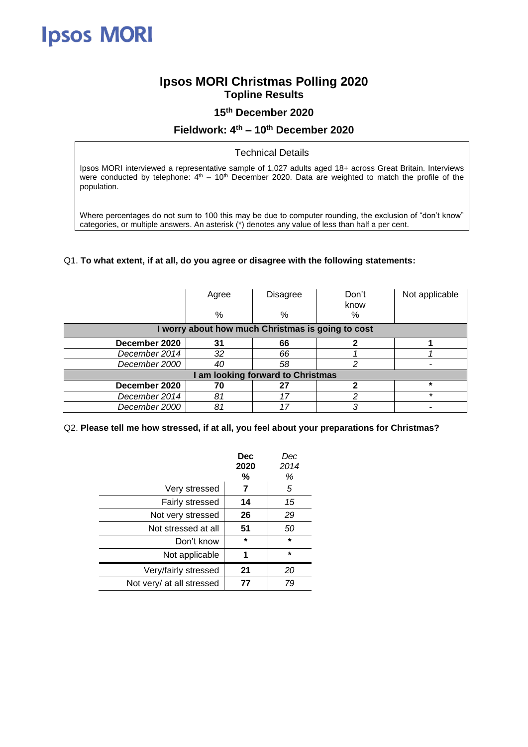# **Ipsos MORI**

## **Ipsos MORI Christmas Polling 2020 Topline Results**

#### **15th December 2020**

### **Fieldwork: 4 th – 10th December 2020**

#### Technical Details

Ipsos MORI interviewed a representative sample of 1,027 adults aged 18+ across Great Britain. Interviews were conducted by telephone:  $4<sup>th</sup> - 10<sup>th</sup>$  December 2020. Data are weighted to match the profile of the population.

Where percentages do not sum to 100 this may be due to computer rounding, the exclusion of "don't know" categories, or multiple answers. An asterisk (\*) denotes any value of less than half a per cent.

#### Q1. **To what extent, if at all, do you agree or disagree with the following statements:**

|                                                   | Agree<br>% | Disagree<br>% | Don't<br>know<br>% | Not applicable |  |
|---------------------------------------------------|------------|---------------|--------------------|----------------|--|
| I worry about how much Christmas is going to cost |            |               |                    |                |  |
| December 2020                                     | 31         | 66            |                    |                |  |
| December 2014                                     | 32         | 66            |                    |                |  |
| December 2000                                     | 40         | 58            | າ                  |                |  |
| I am looking forward to Christmas                 |            |               |                    |                |  |
| December 2020                                     | 70         | 27            |                    | $\star$        |  |
| December 2014                                     | 81         |               | っ                  | $\star$        |  |
| December 2000                                     | 81         |               | 3                  |                |  |

#### Q2. **Please tell me how stressed, if at all, you feel about your preparations for Christmas?**

|                           | <b>Dec</b><br>2020<br>% | Dec<br>2014<br>% |
|---------------------------|-------------------------|------------------|
| Very stressed             | 7                       | 5                |
| Fairly stressed           | 14                      | 15               |
| Not very stressed         | 26                      | 29               |
| Not stressed at all       | 51                      | 50               |
| Don't know                | $\star$                 | $\star$          |
| Not applicable            | 1                       | $\star$          |
| Very/fairly stressed      | 21                      | 20               |
| Not very/ at all stressed | 77                      | 79               |